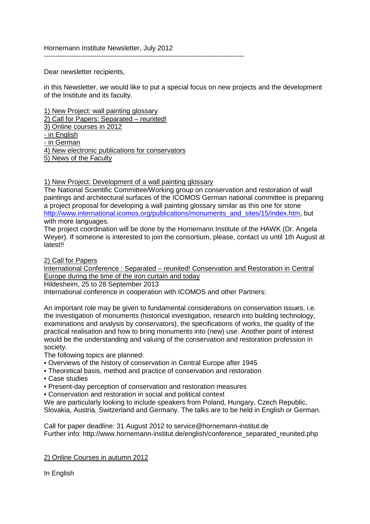Hornemann Institute Newsletter, July 2012

----------------------------------------------------------------------------------------

Dear newsletter recipients,

in this Newsletter, we would like to put a special focus on new projects and the development of the Institute and its faculty.

1) New Project: wall painting glossary 2) Call for Papers: Separated – reunited! 3) Online courses in 2012 - in English - in German 4) New electronic publications for conservators 5) News of the Faculty

1) New Project: Development of a wall painting glossary

The National Scientific Committee/Working group on conservation and restoration of wall paintings and architectural surfaces of the ICOMOS German national committee is preparing a project proposal for developing a wall painting glossary similar as this one for stone [http://www.international.icomos.org/publications/monuments\\_and\\_sites/15/index.htm,](http://www.international.icomos.org/publications/monuments_and_sites/15/index.htm) but with more languages.

The project coordination will be done by the Hornemann Institute of the HAWK (Dr. Angela Weyer). If someone is interested to join the consortium, please, contact us until 1th August at **latest!!** 

2) Call for Papers

International Conference : Separated – reunited! Conservation and Restoration in Central Europe during the time of the iron curtain and today

Hildesheim, 25 to 28 September 2013

International conference in cooperation with ICOMOS and other Partners:

An important role may be given to fundamental considerations on conservation issues, i.e. the investigation of monuments (historical investigation, research into building technology, examinations and analysis by conservators), the specifications of works, the quality of the practical realisation and how to bring monuments into (new) use. Another point of interest would be the understanding and valuing of the conservation and restoration profession in society.

The following topics are planned:

• Overviews of the history of conservation in Central Europe after 1945

- Theoretical basis, method and practice of conservation and restoration
- Case studies
- Present-day perception of conservation and restoration measures
- Conservation and restoration in social and political context

We are particularly looking to include speakers from Poland, Hungary, Czech Republic,

Slovakia, Austria, Switzerland and Germany. The talks are to be held in English or German.

Call for paper deadline: 31 August 2012 to service@hornemann-institut.de Further info: http://www.hornemann-institut.de/english/conference\_separated\_reunited.php

2) Online Courses in autumn 2012

In English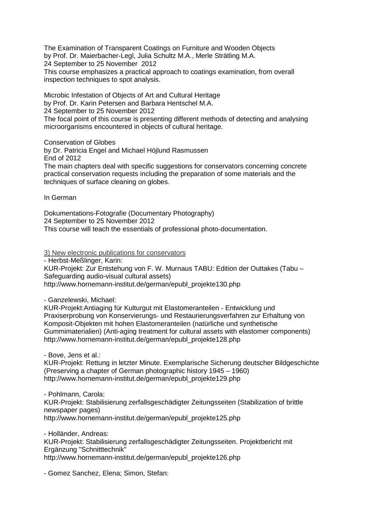The Examination of Transparent Coatings on Furniture and Wooden Objects by Prof. Dr. Maierbacher-Legl, Julia Schultz M.A., Merle Strätling M.A. 24 September to 25 November 2012 This course emphasizes a practical approach to coatings examination, from overall inspection techniques to spot analysis.

Microbic Infestation of Objects of Art and Cultural Heritage by Prof. Dr. Karin Petersen and Barbara Hentschel M.A.

24 September to 25 November 2012

The focal point of this course is presenting different methods of detecting and analysing microorganisms encountered in objects of cultural heritage.

Conservation of Globes

by Dr. Patricia Engel and Michael Höjlund Rasmussen End of 2012

The main chapters deal with specific suggestions for conservators concerning concrete practical conservation requests including the preparation of some materials and the techniques of surface cleaning on globes.

In German

Dokumentations-Fotografie (Documentary Photography) 24 September to 25 November 2012 This course will teach the essentials of professional photo-documentation.

3) New electronic publications for conservators

- Herbst-Meßlinger, Karin:

KUR-Projekt: Zur Entstehung von F. W. Murnaus TABU: Edition der Outtakes (Tabu – Safeguarding audio-visual cultural assets) http://www.hornemann-institut.de/german/epubl\_projekte130.php

- Ganzelewski, Michael:

KUR-Projekt:Antiaging für Kulturgut mit Elastomeranteilen - Entwicklung und Praxiserprobung von Konservierungs- und Restaurierungsverfahren zur Erhaltung von Komposit-Objekten mit hohen Elastomeranteilen (natürliche und synthetische Gummimaterialien) (Anti-aging treatment for cultural assets with elastomer components) http://www.hornemann-institut.de/german/epubl\_projekte128.php

- Bove, Jens et al.:

KUR-Projekt: Rettung in letzter Minute. Exemplarische Sicherung deutscher Bildgeschichte (Preserving a chapter of German photographic history 1945 – 1960) http://www.hornemann-institut.de/german/epubl\_projekte129.php

- Pohlmann, Carola: KUR-Projekt: Stabilisierung zerfallsgeschädigter Zeitungsseiten (Stabilization of brittle newspaper pages) http://www.hornemann-institut.de/german/epubl\_projekte125.php

- Holländer, Andreas: KUR-Projekt: Stabilisierung zerfallsgeschädigter Zeitungsseiten. Projektbericht mit Ergänzung "Schnitttechnik" http://www.hornemann-institut.de/german/epubl\_projekte126.php

- Gomez Sanchez, Elena; Simon, Stefan: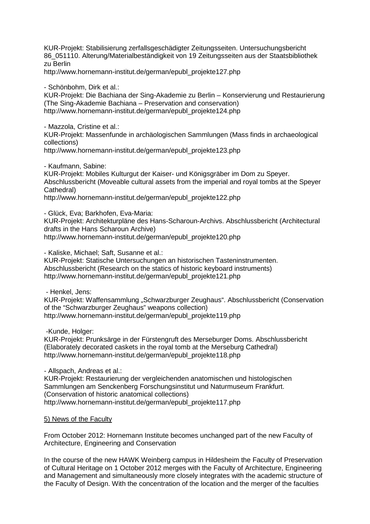KUR-Projekt: Stabilisierung zerfallsgeschädigter Zeitungsseiten. Untersuchungsbericht 86\_051110. Alterung/Materialbeständigkeit von 19 Zeitungsseiten aus der Staatsbibliothek zu Berlin

http://www.hornemann-institut.de/german/epubl\_projekte127.php

- Schönbohm, Dirk et al.:

KUR-Projekt: Die Bachiana der Sing-Akademie zu Berlin – Konservierung und Restaurierung (The Sing-Akademie Bachiana – Preservation and conservation) http://www.hornemann-institut.de/german/epubl\_projekte124.php

- Mazzola, Cristine et al.:

KUR-Projekt: Massenfunde in archäologischen Sammlungen (Mass finds in archaeological collections)

http://www.hornemann-institut.de/german/epubl\_projekte123.php

- Kaufmann, Sabine:

KUR-Projekt: Mobiles Kulturgut der Kaiser- und Königsgräber im Dom zu Speyer. Abschlussbericht (Moveable cultural assets from the imperial and royal tombs at the Speyer Cathedral)

http://www.hornemann-institut.de/german/epubl\_projekte122.php

- Glück, Eva; Barkhofen, Eva-Maria:

KUR-Projekt: Architekturpläne des Hans-Scharoun-Archivs. Abschlussbericht (Architectural drafts in the Hans Scharoun Archive) http://www.hornemann-institut.de/german/epubl\_projekte120.php

- Kaliske, Michael; Saft, Susanne et al.:

KUR-Projekt: Statische Untersuchungen an historischen Tasteninstrumenten. Abschlussbericht (Research on the statics of historic keyboard instruments) http://www.hornemann-institut.de/german/epubl\_projekte121.php

- Henkel, Jens:

KUR-Projekt: Waffensammlung "Schwarzburger Zeughaus". Abschlussbericht (Conservation of the "Schwarzburger Zeughaus" weapons collection) http://www.hornemann-institut.de/german/epubl\_projekte119.php

-Kunde, Holger:

KUR-Projekt: Prunksärge in der Fürstengruft des Merseburger Doms. Abschlussbericht (Elaborately decorated caskets in the royal tomb at the Merseburg Cathedral) http://www.hornemann-institut.de/german/epubl\_projekte118.php

- Allspach, Andreas et al.: KUR-Projekt: Restaurierung der vergleichenden anatomischen und histologischen Sammlungen am Senckenberg Forschungsinstitut und Naturmuseum Frankfurt. (Conservation of historic anatomical collections) http://www.hornemann-institut.de/german/epubl\_projekte117.php

5) News of the Faculty

From October 2012: Hornemann Institute becomes unchanged part of the new Faculty of Architecture, Engineering and Conservation

In the course of the new HAWK Weinberg campus in Hildesheim the Faculty of Preservation of Cultural Heritage on 1 October 2012 merges with the Faculty of Architecture, Engineering and Management and simultaneously more closely integrates with the academic structure of the Faculty of Design. With the concentration of the location and the merger of the faculties